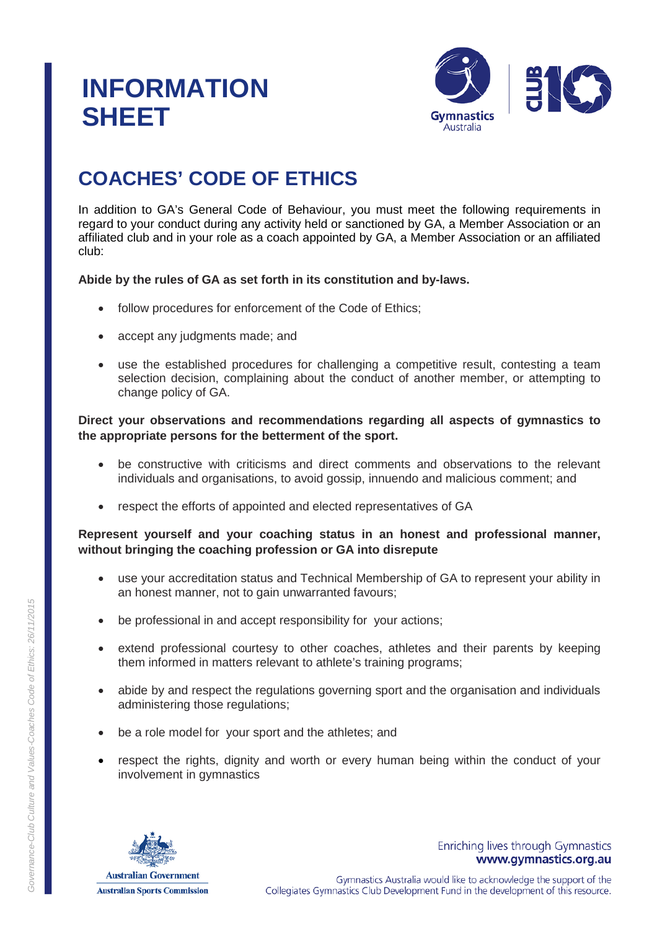# **INFORMATION SHEET**



# **COACHES' CODE OF ETHICS**

In addition to GA's General Code of Behaviour, you must meet the following requirements in regard to your conduct during any activity held or sanctioned by GA, a Member Association or an affiliated club and in your role as a coach appointed by GA, a Member Association or an affiliated club:

# **Abide by the rules of GA as set forth in its constitution and by-laws.**

- follow procedures for enforcement of the Code of Ethics;
- accept any judgments made; and
- use the established procedures for challenging a competitive result, contesting a team selection decision, complaining about the conduct of another member, or attempting to change policy of GA.

# **Direct your observations and recommendations regarding all aspects of gymnastics to the appropriate persons for the betterment of the sport.**

- be constructive with criticisms and direct comments and observations to the relevant individuals and organisations, to avoid gossip, innuendo and malicious comment; and
- respect the efforts of appointed and elected representatives of GA

# **Represent yourself and your coaching status in an honest and professional manner, without bringing the coaching profession or GA into disrepute**

- use your accreditation status and Technical Membership of GA to represent your ability in an honest manner, not to gain unwarranted favours;
- be professional in and accept responsibility for your actions;
- extend professional courtesy to other coaches, athletes and their parents by keeping them informed in matters relevant to athlete's training programs;
- abide by and respect the regulations governing sport and the organisation and individuals administering those regulations;
- be a role model for your sport and the athletes; and
- respect the rights, dignity and worth or every human being within the conduct of your involvement in gymnastics



Enriching lives through Gymnastics www.gymnastics.org.au

Gymnastics Australia would like to acknowledge the support of the Collegiates Gymnastics Club Development Fund in the development of this resource.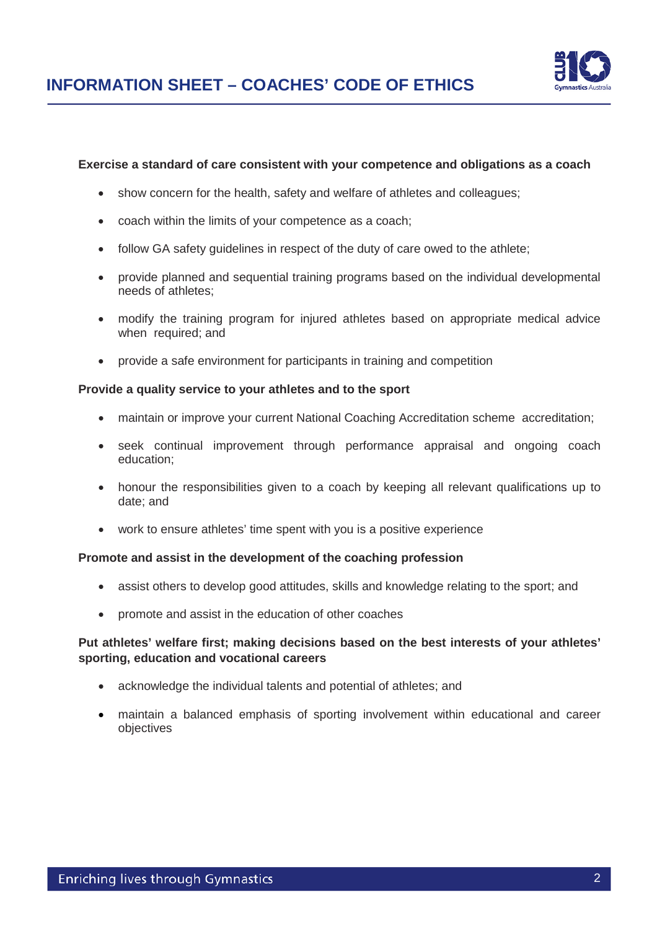

#### **Exercise a standard of care consistent with your competence and obligations as a coach**

- show concern for the health, safety and welfare of athletes and colleagues;
- coach within the limits of your competence as a coach;
- follow GA safety guidelines in respect of the duty of care owed to the athlete;
- provide planned and sequential training programs based on the individual developmental needs of athletes;
- modify the training program for injured athletes based on appropriate medical advice when required; and
- provide a safe environment for participants in training and competition

#### **Provide a quality service to your athletes and to the sport**

- maintain or improve your current National Coaching Accreditation scheme accreditation:
- seek continual improvement through performance appraisal and ongoing coach education;
- honour the responsibilities given to a coach by keeping all relevant qualifications up to date; and
- work to ensure athletes' time spent with you is a positive experience

#### **Promote and assist in the development of the coaching profession**

- assist others to develop good attitudes, skills and knowledge relating to the sport; and
- promote and assist in the education of other coaches

#### **Put athletes' welfare first; making decisions based on the best interests of your athletes' sporting, education and vocational careers**

- acknowledge the individual talents and potential of athletes; and
- maintain a balanced emphasis of sporting involvement within educational and career objectives